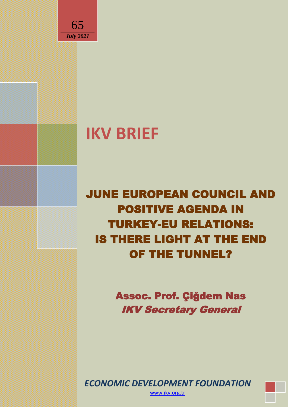

# **IKV BRIEF**

JUNE EUROPEAN COUNCIL AND POSITIVE AGENDA IN TURKEY-EU RELATIONS: IS THERE LIGHT AT THE END OF THE TUNNEL?

> Assoc. Prof. Çiğdem Nas IKV Secretary General

*ECONOMIC DEVELOPMENT FOUNDATION*

[www.ikv.org.tr](http://www.ikv.org.tr/)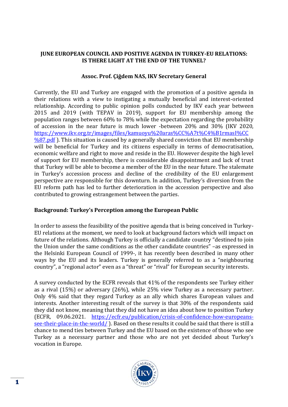## **JUNE EUROPEAN COUNCIL AND POSITIVE AGENDA IN TURKEY-EU RELATIONS: IS THERE LIGHT AT THE END OF THE TUNNEL?**

## **Assoc. Prof. Çiğdem NAS, IKV Secretary General**

Currently, the EU and Turkey are engaged with the promotion of a positive agenda in their relations with a view to instigating a mutually beneficial and interest-oriented relationship. According to public opinion polls conducted by IKV each year between 2015 and 2019 (with TEPAV in 2019), support for EU membership among the population ranges between 60% to 78% while the expectation regarding the probability of accession in the near future is much lower -between 20% and 30% (IKV 2020, [https://www.ikv.org.tr/images/files/kamuoyu%20aras%CC%A7t%C4%B1rmasI%CC](https://www.ikv.org.tr/images/files/kamuoyu%20aras%CC%A7t%C4%B1rmasI%CC%87.pdf)  $\frac{\%87. \text{pdf}}{\text{O}}$ . This situation is caused by a generally shared conviction that EU membership will be beneficial for Turkey and its citizens especially in terms of democratisation, economic welfare and right to move and reside in the EU. However despite the high level of support for EU membership, there is considerable disappointment and lack of trust that Turkey will be able to become a member of the EU in the near future. The stalemate in Turkey's accession process and decline of the credibility of the EU enlargement perspective are responsible for this downturn. In addition, Turkey's diversion from the EU reform path has led to further deterioration in the accession perspective and also contributed to growing estrangement between the parties.

### **Background: Turkey's Perception among the European Public**

In order to assess the feasibility of the positive agenda that is being conceived in Turkey-EU relations at the moment, we need to look at background factors which will impact on future of the relations. Although Turkey is officially a candidate country "destined to join the Union under the same conditions as the other candidate countries" –as expressed in the Helsinki European Council of 1999-, it has recently been described in many other ways by the EU and its leaders. Turkey is generally referred to as a "neighbouring country", a "regional actor" even as a "threat" or "rival" for European security interests.

A survey conducted by the ECFR reveals that 41% of the respondents see Turkey either as a rival (15%) or adversary (26%), while 25% view Turkey as a necessary partner. Only 4% said that they regard Turkey as an ally which shares European values and interests. Another interesting result of the survey is that 30% of the respondents said they did not know, meaning that they did not have an idea about how to position Turkey (ECFR, 09.06.2021. [https://ecfr.eu/publication/crisis-of-confidence-how-europeans](https://ecfr.eu/publication/crisis-of-confidence-how-europeans-see-their-place-in-the-world/)[see-their-place-in-the-world/](https://ecfr.eu/publication/crisis-of-confidence-how-europeans-see-their-place-in-the-world/) ). Based on these results it could be said that there is still a chance to mend ties between Turkey and the EU based on the existence of those who see Turkey as a necessary partner and those who are not yet decided about Turkey's vocation in Europe.

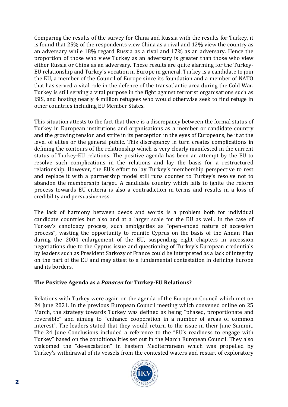Comparing the results of the survey for China and Russia with the results for Turkey, it is found that 25% of the respondents view China as a rival and 12% view the country as an adversary while 18% regard Russia as a rival and 17% as an adversary. Hence the proportion of those who view Turkey as an adversary is greater than those who view either Russia or China as an adversary. These results are quite alarming for the Turkey-EU relationship and Turkey's vocation in Europe in general. Turkey is a candidate to join the EU, a member of the Council of Europe since its foundation and a member of NATO that has served a vital role in the defence of the transatlantic area during the Cold War. Turkey is still serving a vital purpose in the fight against terrorist organisations such as ISIS, and hosting nearly 4 million refugees who would otherwise seek to find refuge in other countries including EU Member States.

This situation attests to the fact that there is a discrepancy between the formal status of Turkey in European institutions and organisations as a member or candidate country and the growing tension and strife in its perception in the eyes of Europeans, be it at the level of elites or the general public. This discrepancy in turn creates complications in defining the contours of the relationship which is very clearly manifested in the current status of Turkey-EU relations. The positive agenda has been an attempt by the EU to resolve such complications in the relations and lay the basis for a restructured relationship. However, the EU's effort to lay Turkey's membership perspective to rest and replace it with a partnership model still runs counter to Turkey's resolve not to abandon the membership target. A candidate country which fails to ignite the reform process towards EU criteria is also a contradiction in terms and results in a loss of credibility and persuasiveness.

The lack of harmony between deeds and words is a problem both for individual candidate countries but also and at a larger scale for the EU as well. In the case of Turkey's candidacy process, such ambiguities as "open-ended nature of accession process", wasting the opportunity to reunite Cyprus on the basis of the Annan Plan during the 2004 enlargement of the EU, suspending eight chapters in accession negotiations due to the Cyprus issue and questioning of Turkey's European credentials by leaders such as President Sarkozy of France could be interpreted as a lack of integrity on the part of the EU and may attest to a fundamental contestation in defining Europe and its borders.

# **The Positive Agenda as a** *Panacea* **for Turkey-EU Relations?**

Relations with Turkey were again on the agenda of the European Council which met on 24 June 2021. In the previous European Council meeting which convened online on 25 March, the strategy towards Turkey was defined as being "phased, proportionate and reversible" and aiming to "enhance cooperation in a number of areas of common interest". The leaders stated that they would return to the issue in their June Summit. The 24 June Conclusions included a reference to the "EU's readiness to engage with Turkey" based on the conditionalities set out in the March European Council. They also welcomed the "de-escalation" in Eastern Mediterranean which was propelled by Turkey's withdrawal of its vessels from the contested waters and restart of exploratory

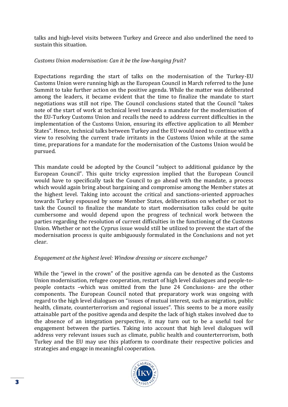talks and high-level visits between Turkey and Greece and also underlined the need to sustain this situation.

# *Customs Union modernisation: Can it be the low-hanging fruit?*

Expectations regarding the start of talks on the modernisation of the Turkey-EU Customs Union were running high as the European Council in March referred to the June Summit to take further action on the positive agenda. While the matter was deliberated among the leaders, it became evident that the time to finalize the mandate to start negotiations was still not ripe. The Council conclusions stated that the Council "takes note of the start of work at technical level towards a mandate for the modernisation of the EU-Turkey Customs Union and recalls the need to address current difficulties in the implementation of the Customs Union, ensuring its effective application to all Member States". Hence, technical talks between Turkey and the EU would need to continue with a view to resolving the current trade irritants in the Customs Union while at the same time, preparations for a mandate for the modernisation of the Customs Union would be pursued.

This mandate could be adopted by the Council "subject to additional guidance by the European Council". This quite tricky expression implied that the European Council would have to specifically task the Council to go ahead with the mandate, a process which would again bring about bargaining and compromise among the Member states at the highest level. Taking into account the critical and sanctions-oriented approaches towards Turkey espoused by some Member States, deliberations on whether or not to task the Council to finalize the mandate to start modernisation talks could be quite cumbersome and would depend upon the progress of technical work between the parties regarding the resolution of current difficulties in the functioning of the Customs Union. Whether or not the Cyprus issue would still be utilized to prevent the start of the modernisation process is quite ambiguously formulated in the Conclusions and not yet clear.

# *Engagement at the highest level: Window dressing or sincere exchange?*

While the "jewel in the crown" of the positive agenda can be denoted as the Customs Union modernisation, refugee cooperation, restart of high level dialogues and people-topeople contacts –which was omitted from the June 24 Conclusions- are the other components. The European Council noted that preparatory work was ongoing with regard to the high level dialogues on "issues of mutual interest, such as migration, public health, climate, counterterrorism and regional issues". This seems to be a more easily attainable part of the positive agenda and despite the lack of high stakes involved due to the absence of an integration perspective, it may turn out to be a useful tool for engagement between the parties. Taking into account that high level dialogues will address very relevant issues such as climate, public health and counterterrorism, both Turkey and the EU may use this platform to coordinate their respective policies and strategies and engage in meaningful cooperation.

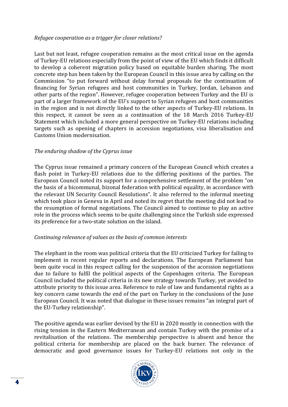#### *Refugee cooperation as a trigger for closer relations?*

Last but not least, refugee cooperation remains as the most critical issue on the agenda of Turkey-EU relations especially from the point of view of the EU which finds it difficult to develop a coherent migration policy based on equitable burden sharing. The most concrete step has been taken by the European Council in this issue area by calling on the Commission "to put forward without delay formal proposals for the continuation of financing for Syrian refugees and host communities in Turkey, Jordan, Lebanon and other parts of the region". However, refugee cooperation between Turkey and the EU is part of a larger framework of the EU's support to Syrian refugees and host communities in the region and is not directly linked to the other aspects of Turkey-EU relations. In this respect, it cannot be seen as a continuation of the 18 March 2016 Turkey-EU Statement which included a more general perspective on Turkey-EU relations including targets such as opening of chapters in accession negotiations, visa liberalisation and Customs Union modernisation.

### *The enduring shadow of the Cyprus issue*

The Cyprus issue remained a primary concern of the European Council which creates a flash point in Turkey-EU relations due to the differing positions of the parties. The European Council noted its support for a comprehensive settlement of the problem "on the basis of a bicommunal, bizonal federation with political equality, in accordance with the relevant UN Security Council Resolutions". It also referred to the informal meeting which took place in Geneva in April and noted its regret that the meeting did not lead to the resumption of formal negotiations. The Council aimed to continue to play an active role in the process which seems to be quite challenging since the Turkish side expressed its preference for a two-state solution on the island.

#### *Continuing relevance of values as the basis of common interests*

The elephant in the room was political criteria that the EU criticized Turkey for failing to implement in recent regular reports and declarations. The European Parliament has been quite vocal in this respect calling for the suspension of the accession negotiations due to failure to fulfil the political aspects of the Copenhagen criteria. The European Council included the political criteria in its new strategy towards Turkey, yet avoided to attribute priority to this issue area. Reference to rule of law and fundamental rights as a key concern came towards the end of the part on Turkey in the conclusions of the June European Council. It was noted that dialogue in these issues remains "an integral part of the EU-Turkey relationship".

The positive agenda was earlier devised by the EU in 2020 mostly in connection with the rising tension in the Eastern Mediterranean and contain Turkey with the promise of a revitalisation of the relations. The membership perspective is absent and hence the political criteria for membership are placed on the back burner. The relevance of democratic and good governance issues for Turkey-EU relations not only in the